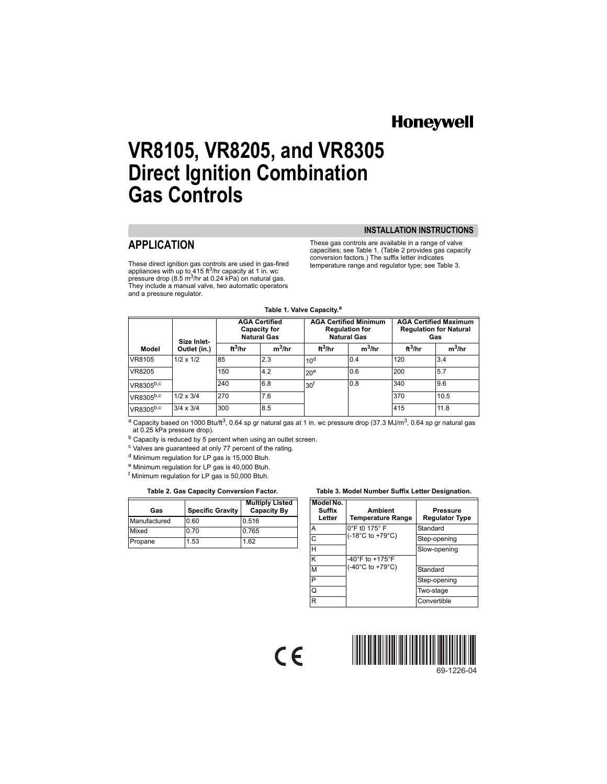# **Honeywell**

# **VR8105, VR8205, and VR8305 Direct Ignition Combination Gas Controls**

## **APPLICATION**

These direct ignition gas controls are used in gas-fired appliances with up to 415 ft<sup>3</sup>/hr capacity at 1 in. wc<br>pressure drop (8.5 m<sup>3</sup>/hr at 0.24 kPa) on natural gas. They include a manual valve, two automatic operators and a pressure regulator.

**INSTALLATION INSTRUCTIONS**

These gas controls are available in a range of valve capacities; see Table 1. (Table 2 provides gas capacity conversion factors.) The suffix letter indicates temperature range and regulator type; see Table 3.

#### **Table 1. Valve Capacity.a**

| Size Inlet- |                  | <b>AGA Certified</b><br>Capacity for<br><b>Natural Gas</b> |           | <b>AGA Certified Minimum</b><br><b>Regulation for</b><br><b>Natural Gas</b> |           | <b>AGA Certified Maximum</b><br><b>Regulation for Natural</b><br>Gas |           |
|-------------|------------------|------------------------------------------------------------|-----------|-----------------------------------------------------------------------------|-----------|----------------------------------------------------------------------|-----------|
| Model       | Outlet (in.)     |                                                            | $m^3$ /hr | $ft^3/hr$                                                                   | $m^3$ /hr | $ft^3/hr$                                                            | $m^3$ /hr |
| VR8105      | $1/2 \times 1/2$ | 85                                                         | 2.3       | 10 <sup>d</sup>                                                             | 0.4       | 120                                                                  | 3.4       |
| VR8205      |                  | 150                                                        | 4.2       | 20 <sup>e</sup>                                                             | 0.6       | 200                                                                  | 5.7       |
| VR8305b,c   |                  | 240                                                        | 6.8       | 30 <sup>f</sup>                                                             | 0.8       | 340                                                                  | 9.6       |
| VR8305b,c   | $1/2 \times 3/4$ | 270                                                        | 7.6       |                                                                             |           | 370                                                                  | 10.5      |
| VR8305b,c   | $3/4 \times 3/4$ | 300                                                        | 8.5       |                                                                             |           | 415                                                                  | 11.8      |

a Capacity based on 1000 Btu/ft<sup>3</sup>, 0.64 sp gr natural gas at 1 in. wc pressure drop (37.3 MJ/m<sup>3</sup>, 0.64 sp gr natural gas at 0.25 kPa pressure drop).

 $\epsilon$ 

b Capacity is reduced by 5 percent when using an outlet screen.

<sup>c</sup> Valves are guaranteed at only 77 percent of the rating.

d Minimum regulation for LP gas is 15,000 Btuh.

e Minimum regulation for LP gas is 40,000 Btuh.

f Minimum regulation for LP gas is 50,000 Btuh.

| Gas          | <b>Specific Gravity</b> | <b>Multiply Listed</b><br><b>Capacity By</b> |
|--------------|-------------------------|----------------------------------------------|
| Manufactured | 0.60                    | 0.516                                        |
| Mixed        | 0.70                    | 0.765                                        |
| Propane      | 1.53                    | 1.62                                         |

#### **Table 2. Gas Capacity Conversion Factor. Table 3. Model Number Suffix Letter Designation.**

| Model No.<br>Suffix<br>Letter | Ambient<br><b>Temperature Range</b>       | Pressure<br><b>Regulator Type</b> |  |
|-------------------------------|-------------------------------------------|-----------------------------------|--|
| А                             | $0^\circ$ F t0 175 $^\circ$ F             | Standard                          |  |
| C                             | $(-18^{\circ}C \text{ to } +79^{\circ}C)$ | Step-opening                      |  |
| н                             |                                           | Slow-opening                      |  |
| ĸ                             | $-40^{\circ}$ F to $+175^{\circ}$ F       |                                   |  |
| M                             | $(-40^{\circ}$ C to +79 $^{\circ}$ C)     | Standard                          |  |
| P                             |                                           | Step-opening                      |  |
| Q                             |                                           | Two-stage                         |  |
| R                             |                                           | Convertible                       |  |



69-1226-04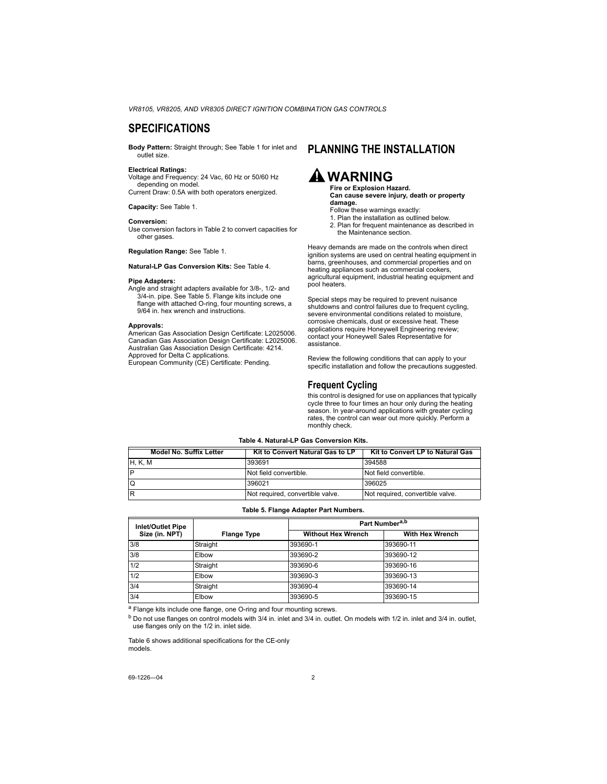### **SPECIFICATIONS**

**Body Pattern:** Straight through; See Table 1 for inlet and outlet size.

#### **Electrical Ratings:**

Voltage and Frequency: 24 Vac, 60 Hz or 50/60 Hz depending on model.

Current Draw: 0.5A with both operators energized.

**Capacity:** See Table 1.

#### **Conversion:**

Use conversion factors in Table 2 to convert capacities for other gases.

**Regulation Range:** See Table 1.

**Natural-LP Gas Conversion Kits:** See Table 4.

#### **Pipe Adapters:**

Angle and straight adapters available for 3/8-, 1/2- and 3/4-in. pipe. See Table 5. Flange kits include one flange with attached O-ring, four mounting screws, a 9/64 in. hex wrench and instructions.

#### **Approvals:**

American Gas Association Design Certificate: L2025006. Canadian Gas Association Design Certificate: L2025006. Australian Gas Association Design Certificate: 4214. Approved for Delta C applications.

European Community (CE) Certificate: Pending.

### **PLANNING THE INSTALLATION**

# **WARNING**

**Fire or Explosion Hazard. Can cause severe injury, death or property damage.**

- Follow these warnings exactly:
- 1. Plan the installation as outlined below.
- 2. Plan for frequent maintenance as described in the Maintenance section.

Heavy demands are made on the controls when direct ignition systems are used on central heating equipment in barns, greenhouses, and commercial properties and on heating appliances such as commercial cookers, agricultural equipment, industrial heating equipment and pool heaters.

Special steps may be required to prevent nuisance shutdowns and control failures due to frequent cycling, severe environmental conditions related to moisture. corrosive chemicals, dust or excessive heat. These applications require Honeywell Engineering review; contact your Honeywell Sales Representative for assistance.

Review the following conditions that can apply to your specific installation and follow the precautions suggested.

### **Frequent Cycling**

this control is designed for use on appliances that typically cycle three to four times an hour only during the heating season. In year-around applications with greater cycling rates, the control can wear out more quickly. Perform a monthly check.

#### **Table 4. Natural-LP Gas Conversion Kits.**

| Model No. Suffix Letter | Kit to Convert Natural Gas to LP | Kit to Convert LP to Natural Gas |
|-------------------------|----------------------------------|----------------------------------|
| <b>H, K, M</b>          | 393691                           | 394588                           |
| P                       | Not field convertible.           | Not field convertible.           |
| $\Omega$                | 396021                           | 396025                           |
| R                       | Not required, convertible valve. | Not required, convertible valve. |

#### **Table 5. Flange Adapter Part Numbers.**

| <b>Inlet/Outlet Pipe</b> |                    | Part Number <sup>a,b</sup> |                        |  |  |
|--------------------------|--------------------|----------------------------|------------------------|--|--|
| Size (in. NPT)           | <b>Flange Type</b> | <b>Without Hex Wrench</b>  | <b>With Hex Wrench</b> |  |  |
| 3/8                      | Straight           | 393690-1                   | 393690-11              |  |  |
| 3/8                      | Elbow              | 393690-2                   | 393690-12              |  |  |
| 1/2                      | Straight           | 393690-6                   | 393690-16              |  |  |
| 1/2                      | Elbow              | 393690-3                   | 393690-13              |  |  |
| 3/4                      | Straight           | 393690-4                   | 393690-14              |  |  |
| 3/4                      | Elbow              | 393690-5                   | 393690-15              |  |  |

a Flange kits include one flange, one O-ring and four mounting screws.

b Do not use flanges on control models with 3/4 in. inlet and 3/4 in. outlet. On models with 1/2 in. inlet and 3/4 in. outlet, use flanges only on the 1/2 in. inlet side.

Table 6 shows additional specifications for the CE-only models.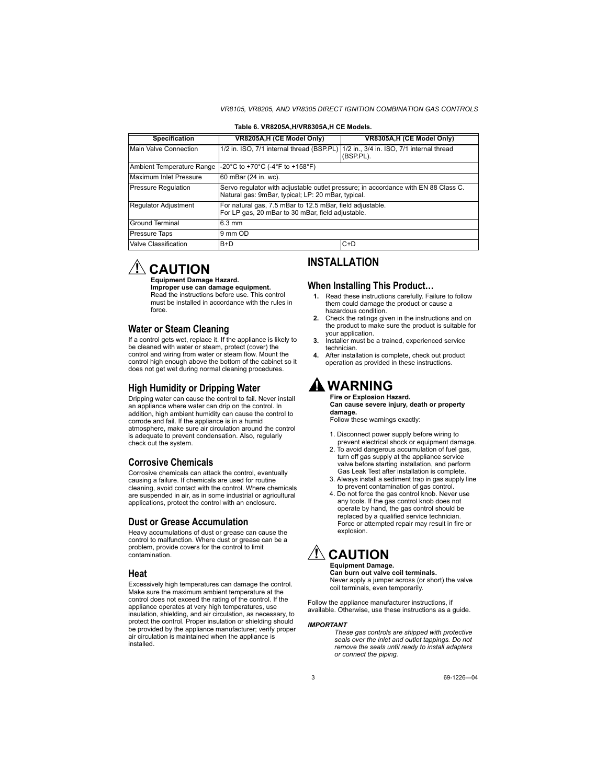| <b>Specification</b>                   | VR8205A, H (CE Model Only)                                                                                                               | VR8305A, H (CE Model Only)                             |  |  |  |
|----------------------------------------|------------------------------------------------------------------------------------------------------------------------------------------|--------------------------------------------------------|--|--|--|
| Main Valve Connection                  | 1/2 in. ISO, 7/1 internal thread (BSP.PL)                                                                                                | 1/2 in., 3/4 in. ISO, 7/1 internal thread<br>(BSP.PL). |  |  |  |
| Ambient Temperature Range              | -20°C to +70°C (-4°F to +158°F)                                                                                                          |                                                        |  |  |  |
| Maximum Inlet Pressure                 | 60 mBar (24 in. wc).                                                                                                                     |                                                        |  |  |  |
| <b>Pressure Regulation</b>             | Servo regulator with adjustable outlet pressure; in accordance with EN 88 Class C.<br>Natural gas: 9mBar, typical; LP: 20 mBar, typical. |                                                        |  |  |  |
| <b>Regulator Adjustment</b>            | For natural gas, 7.5 mBar to 12.5 mBar, field adjustable.<br>For LP gas, 20 mBar to 30 mBar, field adjustable.                           |                                                        |  |  |  |
| <b>Ground Terminal</b>                 | $6.3 \text{ mm}$                                                                                                                         |                                                        |  |  |  |
| <b>Pressure Taps</b>                   | 9 mm OD                                                                                                                                  |                                                        |  |  |  |
| Valve Classification<br>$C+D$<br>$B+D$ |                                                                                                                                          |                                                        |  |  |  |
|                                        |                                                                                                                                          |                                                        |  |  |  |

#### **Table 6. VR8205A,H/VR8305A,H CE Models.**

# $\mathbb{R}$  CAUTION

#### **Equipment Damage Hazard.**

**Improper use can damage equipment.** Read the instructions before use. This control must be installed in accordance with the rules in force.

### **Water or Steam Cleaning**

If a control gets wet, replace it. If the appliance is likely to be cleaned with water or steam, protect (cover) the control and wiring from water or steam flow. Mount the control high enough above the bottom of the cabinet so it does not get wet during normal cleaning procedures.

### **High Humidity or Dripping Water**

Dripping water can cause the control to fail. Never install an appliance where water can drip on the control. In addition, high ambient humidity can cause the control to corrode and fail. If the appliance is in a humid atmosphere, make sure air circulation around the control is adequate to prevent condensation. Also, regularly check out the system.

### **Corrosive Chemicals**

Corrosive chemicals can attack the control, eventually causing a failure. If chemicals are used for routine cleaning, avoid contact with the control. Where chemicals are suspended in air, as in some industrial or agricultural applications, protect the control with an enclosure.

### **Dust or Grease Accumulation**

Heavy accumulations of dust or grease can cause the control to malfunction. Where dust or grease can be a problem, provide covers for the control to limit contamination.

### **Heat**

Excessively high temperatures can damage the control. Make sure the maximum ambient temperature at the control does not exceed the rating of the control. If the appliance operates at very high temperatures, use insulation, shielding, and air circulation, as necessary, to protect the control. Proper insulation or shielding should be provided by the appliance manufacturer; verify proper air circulation is maintained when the appliance is installed.

### **INSTALLATION**

### **When Installing This Product…**

- **1.** Read these instructions carefully. Failure to follow them could damage the product or cause a hazardous condition.
- **2.** Check the ratings given in the instructions and on the product to make sure the product is suitable for your application.
- **3.** Installer must be a trained, experienced service technician.
- **4.** After installation is complete, check out product operation as provided in these instructions.

# **WARNING**

**Fire or Explosion Hazard. Can cause severe injury, death or property damage.**

Follow these warnings exactly:

- 1. Disconnect power supply before wiring to prevent electrical shock or equipment damage.
- 2. To avoid dangerous accumulation of fuel gas, turn off gas supply at the appliance service valve before starting installation, and perform Gas Leak Test after installation is complete.
- 3. Always install a sediment trap in gas supply line to prevent contamination of gas control.
- 4. Do not force the gas control knob. Never use any tools. If the gas control knob does not operate by hand, the gas control should be replaced by a qualified service technician. Force or attempted repair may result in fire or explosion.

# **CAUTION**

#### **Equipment Damage. Can burn out valve coil terminals.**

Never apply a jumper across (or short) the valve coil terminals, even temporarily.

Follow the appliance manufacturer instructions, if available. Otherwise, use these instructions as a guide.

#### *IMPORTANT*

*These gas controls are shipped with protective seals over the inlet and outlet tappings. Do not remove the seals until ready to install adapters or connect the piping.*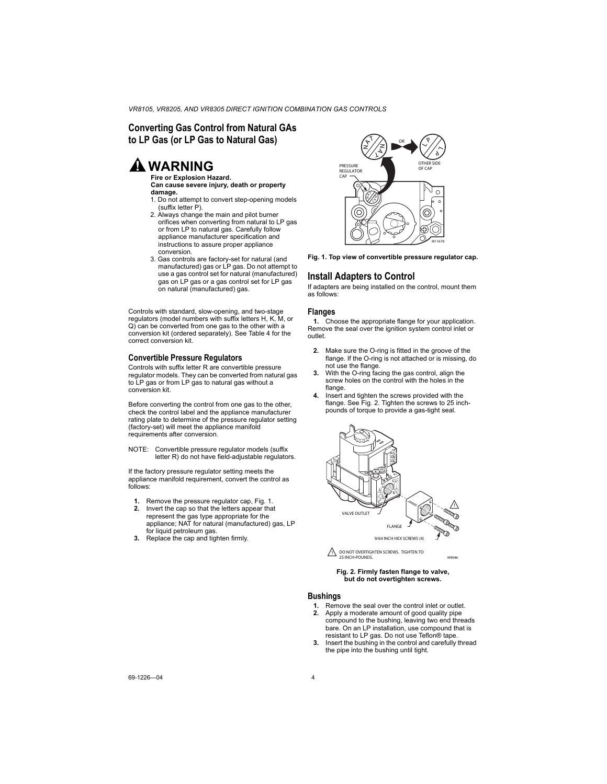### **Converting Gas Control from Natural GAs to LP Gas (or LP Gas to Natural Gas)**

# **WARNING**

**Fire or Explosion Hazard. Can cause severe injury, death or property damage.**

- 1. Do not attempt to convert step-opening models (suffix letter P).
- 2. Always change the main and pilot burner orifices when converting from natural to LP gas or from LP to natural gas. Carefully follow appliance manufacturer specification and instructions to assure proper appliance conversion.
- 3. Gas controls are factory-set for natural (and manufactured) gas or LP gas. Do not attempt to use a gas control set for natural (manufactured) gas on LP gas or a gas control set for LP gas on natural (manufactured) gas.

Controls with standard, slow-opening, and two-stage regulators (model numbers with suffix letters H, K, M, or Q) can be converted from one gas to the other with a conversion kit (ordered separately). See Table 4 for the correct conversion kit.

### **Convertible Pressure Regulators**

Controls with suffix letter R are convertible pressure regulator models. They can be converted from natural gas to LP gas or from LP gas to natural gas without a conversion kit.

Before converting the control from one gas to the other, check the control label and the appliance manufacturer rating plate to determine of the pressure regulator setting (factory-set) will meet the appliance manifold requirements after conversion.

NOTE: Convertible pressure regulator models (suffix letter R) do not have field-adjustable regulators.

If the factory pressure regulator setting meets the appliance manifold requirement, convert the control as follows:

- **1.** Remove the pressure regulator cap, Fig. 1.<br>**2.** Invert the cap so that the letters appear that
- **2.** Invert the cap so that the letters appear that represent the gas type appropriate for the appliance; NAT for natural (manufactured) gas, LP for liquid petroleum gas.
- **3.** Replace the cap and tighten firmly.



**Fig. 1. Top view of convertible pressure regulator cap.**

### **Install Adapters to Control**

If adapters are being installed on the control, mount them as follows:

#### **Flanges**

**1.** Choose the appropriate flange for your application. Remove the seal over the ignition system control inlet or outlet.

- **2.** Make sure the O-ring is fitted in the groove of the flange. If the O-ring is not attached or is missing, do not use the flange.
- **3.** With the O-ring facing the gas control, align the screw holes on the control with the holes in the flange.
- **4.** Insert and tighten the screws provided with the flange. See Fig. 2. Tighten the screws to 25 inchpounds of torque to provide a gas-tight seal.



1\ DO NOT OVERTIGHTEN SCREWS. TIGHTEN TO 25 INCH-POUNDS.

M9046

#### **Fig. 2. Firmly fasten flange to valve, but do not overtighten screws.**

#### **Bushings**

- **1.** Remove the seal over the control inlet or outlet.
- **2.** Apply a moderate amount of good quality pipe compound to the bushing, leaving two end threads bare. On an LP installation, use compound that is resistant to LP gas. Do not use Teflon® tape.
- **3.** Insert the bushing in the control and carefully thread the pipe into the bushing until tight.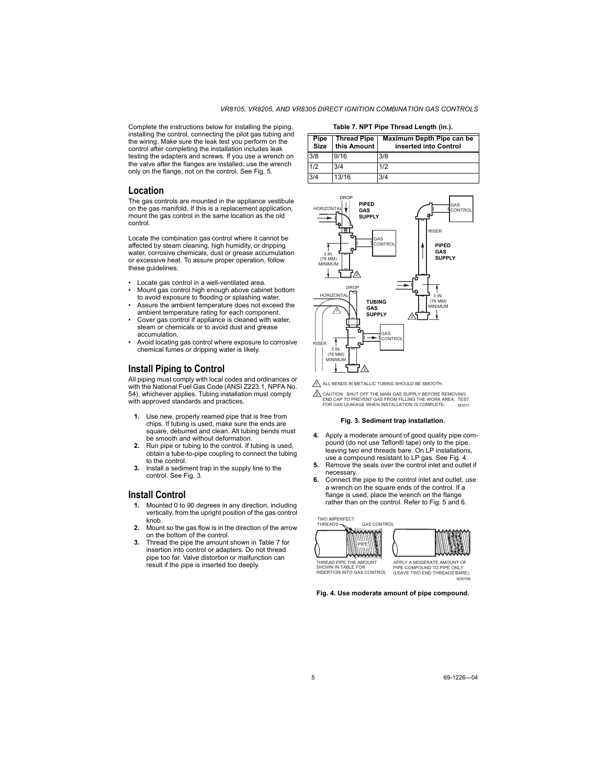Complete the instructions below for installing the piping, installing the control, connecting the pilot gas tubing and the wiring. Make sure the leak test you perform on the control after completing the installation includes leak testing the adapters and screws. If you use a wrench on the valve after the flanges are installed, use the wrench only on the flange, not on the control. See Fig. 5.

### **Location**

The gas controls are mounted in the appliance vestibule on the gas manifold. If this is a replacement application, mount the gas control in the same location as the old control.

Locate the combination gas control where it cannot be affected by steam cleaning, high humidity, or dripping water, corrosive chemicals, dust or grease accumulation or excessive heat. To assure proper operation, follow these guidelines:

- Locate gas control in a well-ventilated area.
- Mount gas control high enough above cabinet bottom to avoid exposure to flooding or splashing water.
- Assure the ambient temperature does not exceed the ambient temperature rating for each component.
- Cover gas control if appliance is cleaned with water. steam or chemicals or to avoid dust and grease accumulation.
- Avoid locating gas control where exposure to corrosive chemical fumes or dripping water is likely.

### **Install Piping to Control**

All piping must comply with local codes and ordinances or with the National Fuel Gas Code (ANSI Z223.1, NPFA No. 54), whichever applies. Tubing installation must comply with approved standards and practices.

- Use new, properly reamed pipe that is free from chips. If tubing is used, make sure the ends are square, deburred and clean. All tubing bends must be smooth and without deformation.
- **2.** Run pipe or tubing to the control. If tubing is used, obtain a tube-to-pipe coupling to connect the tubing to the control.
- **3.** Install a sediment trap in the supply line to the control. See Fig. 3.

### **Install Control**

- **1.** Mounted 0 to 90 degrees in any direction, including vertically, from the upright position of the gas control knob
- **2.** Mount so the gas flow is in the direction of the arrow on the bottom of the control.
- **3.** Thread the pipe the amount shown in Table 7 for insertion into control or adapters. Do not thread pipe too far. Valve distortion or malfunction can result if the pipe is inserted too deeply.

**Table 7. NPT Pipe Thread Length (in.). Pipe Size Thread Pipe this Amount Maximum Depth Pipe can be inserted into Control** 3/8 9/16 3/8 1/2 3/4 1/2 3/4 13/16 3/4



1 ALL BENDS IN METALLIC TUBING SHOULD BE SMOOTH.

M3077 2 CAUTION: SHUT OFF THE MAIN GAS SUPPLY BEFORE REMOVING END CAP TO PREVENT GAS FROM FILLING THE WORK AREA. TEST FOR GAS LEAKAGE WHEN INSTALLATION IS COMPLETE.

#### **Fig. 3. Sediment trap installation.**

- **4.** Apply a moderate amount of good quality pipe compound (do not use Teflon® tape) only to the pipe, leaving two end threads bare. On LP installations, use a compound resistant to LP gas. See Fig. 4.
- **5.** Remove the seals over the control inlet and outlet if necessary.
- **6.** Connect the pipe to the control inlet and outlet. use a wrench on the square ends of the control. If a flange is used, place the wrench on the flange rather than on the control. Refer to Fig. 5 and 6.

TWO IMPERFECT THREADS GAS CONTROL PIPE



THREAD PIPE THE AMOUNT SHOWN IN TABLE FOR INSERTION INTO GAS CONTROL

APPLY A MODERATE AMOUNT OF PIPE COMPOUND TO PIPE ONLY (LEAVE TWO END THREADS BARE). M3075B

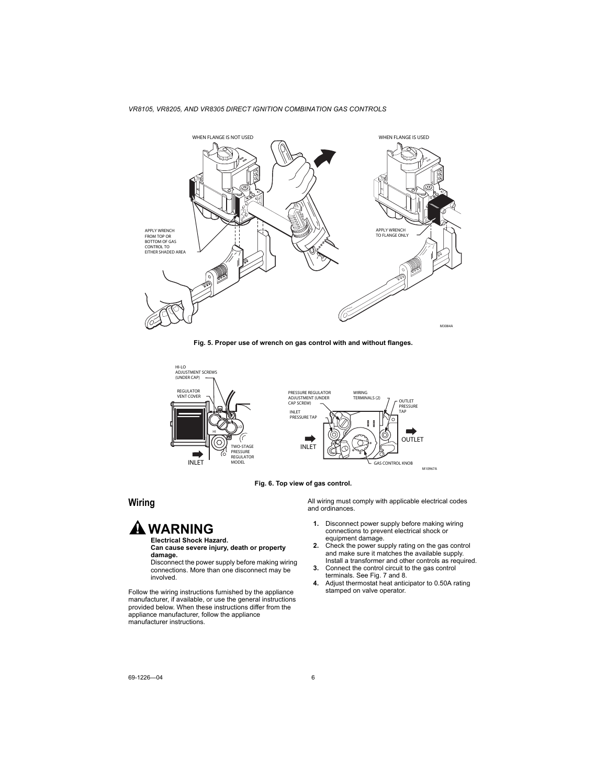

**Fig. 5. Proper use of wrench on gas control with and without flanges.**



**Fig. 6. Top view of gas control.**

### **Wiring**

# **WARNING**

#### **Electrical Shock Hazard. Can cause severe injury, death or property damage.**

Disconnect the power supply before making wiring connections. More than one disconnect may be involved.

Follow the wiring instructions furnished by the appliance manufacturer, if available, or use the general instructions provided below. When these instructions differ from the appliance manufacturer, follow the appliance manufacturer instructions.

All wiring must comply with applicable electrical codes and ordinances.

- **1.** Disconnect power supply before making wiring connections to prevent electrical shock or equipment damage.
- **2.** Check the power supply rating on the gas control and make sure it matches the available supply. Install a transformer and other controls as required.
- **3.** Connect the control circuit to the gas control terminals. See Fig. 7 and 8.
- **4.** Adjust thermostat heat anticipator to 0.50A rating stamped on valve operator.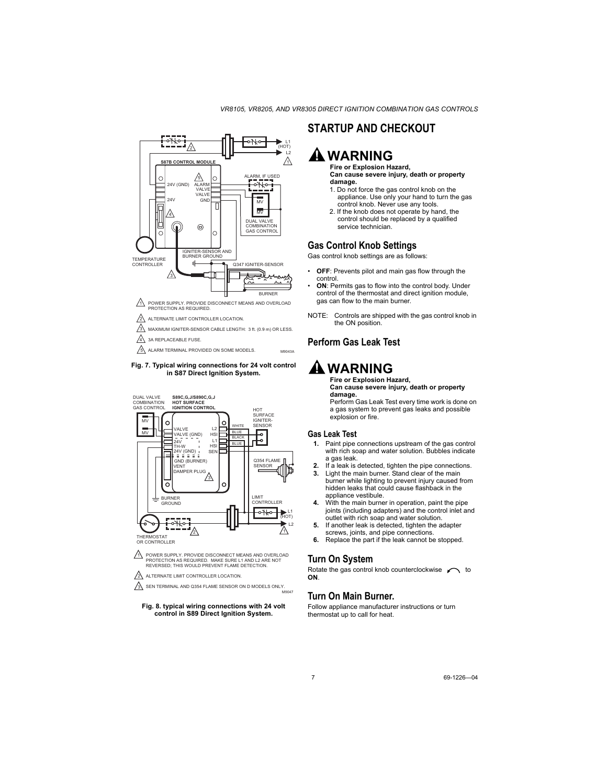





PROTECTION AS REQUIRED. MAKE SURE L1 AND L2 ARE NOT REVERSED; THIS WOULD PREVENT FLAME DETECTION.

ALTERNATE LIMIT CONTROLLER LOCATION.

2

A

SEN TERMINAL AND Q354 FLAME SENSOR ON D MODELS ONLY.  $\frac{1}{100047}$ 

#### **Fig. 8. typical wiring connections with 24 volt control in S89 Direct Ignition System.**

### **STARTUP AND CHECKOUT**

# **WARNING**

#### **Fire or Explosion Hazard, Can cause severe injury, death or property damage.**

- 1. Do not force the gas control knob on the appliance. Use only your hand to turn the gas control knob. Never use any tools.
- 2. If the knob does not operate by hand, the control should be replaced by a qualified service technician.

### **Gas Control Knob Settings**

Gas control knob settings are as follows:

- **OFF**: Prevents pilot and main gas flow through the control.
- **ON**: Permits gas to flow into the control body. Under control of the thermostat and direct ignition module, gas can flow to the main burner.
- NOTE: Controls are shipped with the gas control knob in the ON position.

### **Perform Gas Leak Test**

# **WARNING**

#### **Fire or Explosion Hazard, Can cause severe injury, death or property damage.**

Perform Gas Leak Test every time work is done on a gas system to prevent gas leaks and possible explosion or fire.

### **Gas Leak Test**

- **1.** Paint pipe connections upstream of the gas control with rich soap and water solution. Bubbles indicate a gas leak.
- **2.** If a leak is detected, tighten the pipe connections.
- **3.** Light the main burner. Stand clear of the main burner while lighting to prevent injury caused from hidden leaks that could cause flashback in the appliance vestibule.
- **4.** With the main burner in operation, paint the pipe joints (including adapters) and the control inlet and outlet with rich soap and water solution.
- **5.** If another leak is detected, tighten the adapter screws, joints, and pipe connections.
- **6.** Replace the part if the leak cannot be stopped.

### **Turn On System**

Rotate the gas control knob counterclockwise  $\curvearrowleft$  to **ON**.

### **Turn On Main Burner.**

Follow appliance manufacturer instructions or turn thermostat up to call for heat.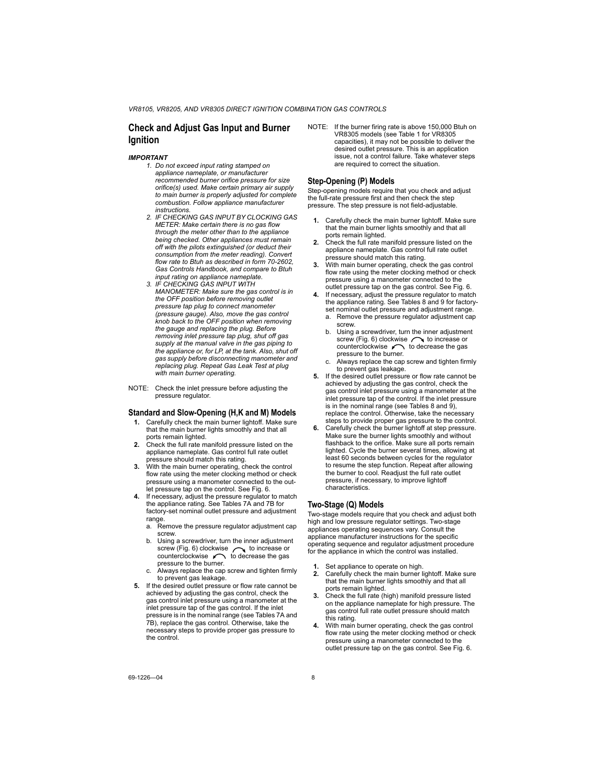### **Check and Adjust Gas Input and Burner Ignition**

#### *IMPORTANT*

- *1. Do not exceed input rating stamped on appliance nameplate, or manufacturer recommended burner orifice pressure for size orifice(s) used. Make certain primary air supply to main burner is properly adjusted for complete combustion. Follow appliance manufacturer instructions.*
- *2. IF CHECKING GAS INPUT BY CLOCKING GAS METER: Make certain there is no gas flow through the meter other than to the appliance being checked. Other appliances must remain off with the pilots extinguished (or deduct their consumption from the meter reading). Convert flow rate to Btuh as described in form 70-2602, Gas Controls Handbook, and compare to Btuh input rating on appliance nameplate.*
- *3. IF CHECKING GAS INPUT WITH MANOMETER: Make sure the gas control is in the OFF position before removing outlet pressure tap plug to connect manometer (pressure gauge). Also, move the gas control knob back to the OFF position when removing the gauge and replacing the plug. Before removing inlet pressure tap plug, shut off gas supply at the manual valve in the gas piping to the appliance or, for LP, at the tank. Also, shut off gas supply before disconnecting manometer and replacing plug. Repeat Gas Leak Test at plug with main burner operating.*
- NOTE: Check the inlet pressure before adjusting the pressure regulator.

#### **Standard and Slow-Opening (H,K and M) Models**

- **1.** Carefully check the main burner lightoff. Make sure that the main burner lights smoothly and that all ports remain lighted.
- **2.** Check the full rate manifold pressure listed on the appliance nameplate. Gas control full rate outlet pressure should match this rating.
- **3.** With the main burner operating, check the control flow rate using the meter clocking method or check pressure using a manometer connected to the outlet pressure tap on the control. See Fig. 6.
- **4.** If necessary, adjust the pressure regulator to match the appliance rating. See Tables 7A and 7B for factory-set nominal outlet pressure and adjustment range.
	- a. Remove the pressure regulator adjustment cap screw.
	- Using a screwdriver, turn the inner adjustment screw (Fig. 6) clockwise  $\curvearrowright$  to increase or  $counterclockwise$  to decrease the gas pressure to the burner.
	- c. Always replace the cap screw and tighten firmly to prevent gas leakage.
- **5.** If the desired outlet pressure or flow rate cannot be achieved by adjusting the gas control, check the gas control inlet pressure using a manometer at the inlet pressure tap of the gas control. If the inlet pressure is in the nominal range (see Tables 7A and 7B), replace the gas control. Otherwise, take the necessary steps to provide proper gas pressure to the control.

NOTE: If the burner firing rate is above 150,000 Btuh on VR8305 models (see Table 1 for VR8305 capacities), it may not be possible to deliver the desired outlet pressure. This is an application issue, not a control failure. Take whatever steps are required to correct the situation.

#### **Step-Opening (P) Models**

Step-opening models require that you check and adjust the full-rate pressure first and then check the step pressure. The step pressure is not field-adjustable.

- **1.** Carefully check the main burner lightoff. Make sure that the main burner lights smoothly and that all ports remain lighted.
- **2.** Check the full rate manifold pressure listed on the appliance nameplate. Gas control full rate outlet pressure should match this rating.
- **3.** With main burner operating, check the gas control flow rate using the meter clocking method or check pressure using a manometer connected to the outlet pressure tap on the gas control. See Fig. 6.
- **4.** If necessary, adjust the pressure regulator to match the appliance rating. See Tables 8 and 9 for factoryset nominal outlet pressure and adjustment range.
	- a. Remove the pressure regulator adjustment cap screw.
	- b. Using a screwdriver, turn the inner adjustment screw (Fig. 6) clockwise  $\curvearrowright$  to increase or counterclockwise  $\curvearrowleft$  to decrease the gas pressure to the burner.
	- c. Always replace the cap screw and tighten firmly to prevent gas leakage.
- **5.** If the desired outlet pressure or flow rate cannot be achieved by adjusting the gas control, check the gas control inlet pressure using a manometer at the inlet pressure tap of the control. If the inlet pressure is in the nominal range (see Tables 8 and 9), replace the control. Otherwise, take the necessary steps to provide proper gas pressure to the control.
- **6.** Carefully check the burner lightoff at step pressure. Make sure the burner lights smoothly and without flashback to the orifice. Make sure all ports remain lighted. Cycle the burner several times, allowing at least 60 seconds between cycles for the regulator to resume the step function. Repeat after allowing the burner to cool. Readjust the full rate outlet pressure, if necessary, to improve lightoff characteristics.

### **Two-Stage (Q) Models**

Two-stage models require that you check and adjust both high and low pressure regulator settings. Two-stage appliances operating sequences vary. Consult the appliance manufacturer instructions for the specific operating sequence and regulator adjustment procedure for the appliance in which the control was installed.

- **1.** Set appliance to operate on high.
- **2.** Carefully check the main burner lightoff. Make sure that the main burner lights smoothly and that all ports remain lighted.
- **3.** Check the full rate (high) manifold pressure listed on the appliance nameplate for high pressure. The gas control full rate outlet pressure should match this rating.
- **4.** With main burner operating, check the gas control flow rate using the meter clocking method or check pressure using a manometer connected to the outlet pressure tap on the gas control. See Fig. 6.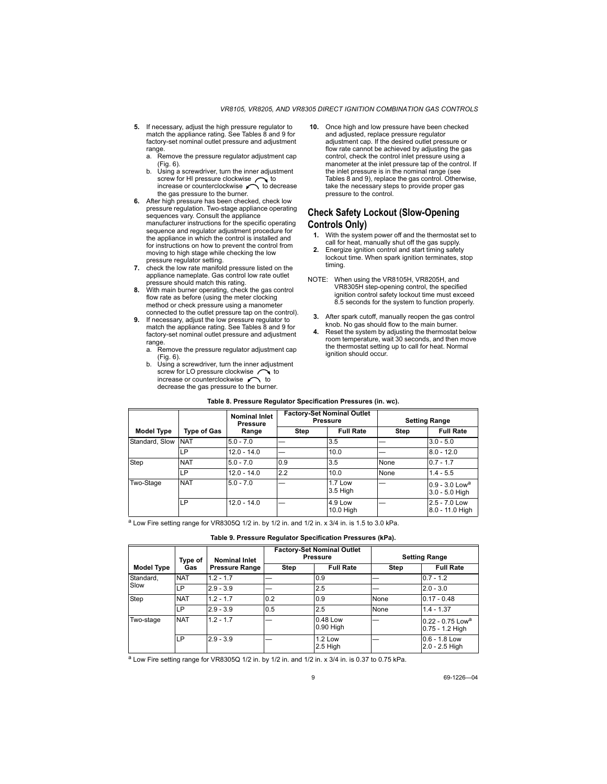- **5.** If necessary, adjust the high pressure regulator to match the appliance rating. See Tables 8 and 9 for factory-set nominal outlet pressure and adjustment range.
	- a. Remove the pressure regulator adjustment cap (Fig. 6).
	- b. Using a screwdriver, turn the inner adjustment screw for HI pressure clockwise  $\curvearrowright$  to increase or counterclockwise  $\curvearrowright$  to decrease the gas pressure to the burner.
- **6.** After high pressure has been checked, check low pressure regulation. Two-stage appliance operating sequences vary. Consult the appliance manufacturer instructions for the specific operating sequence and regulator adjustment procedure for the appliance in which the control is installed and for instructions on how to prevent the control from moving to high stage while checking the low pressure regulator setting.
- **7.** check the low rate manifold pressure listed on the appliance nameplate. Gas control low rate outlet pressure should match this rating.
- **8.** With main burner operating, check the gas control flow rate as before (using the meter clocking method or check pressure using a manometer connected to the outlet pressure tap on the control).
- **9.** If necessary, adjust the low pressure regulator to match the appliance rating. See Tables 8 and 9 for factory-set nominal outlet pressure and adjustment range
	- a. Remove the pressure regulator adjustment cap (Fig. 6).
	- b. Using a screwdriver, turn the inner adjustment screw for LO pressure clockwise  $\sim$  to increase or counterclockwise  $\curvearrowleft$  to decrease the gas pressure to the burner.

**10.** Once high and low pressure have been checked and adjusted, replace pressure regulator adjustment cap. If the desired outlet pressure or flow rate cannot be achieved by adjusting the gas control, check the control inlet pressure using a manometer at the inlet pressure tap of the control. If the inlet pressure is in the nominal range (see Tables 8 and 9), replace the gas control. Otherwise, take the necessary steps to provide proper gas pressure to the control.

### **Check Safety Lockout (Slow-Opening Controls Only)**

- **1.** With the system power off and the thermostat set to call for heat, manually shut off the gas supply.
- **2.** Energize ignition control and start timing safety lockout time. When spark ignition terminates, stop timing.
- NOTE: When using the VR8105H, VR8205H, and VR8305H step-opening control, the specified ignition control safety lockout time must exceed 8.5 seconds for the system to function properly.
	- **3.** After spark cutoff, manually reopen the gas control knob. No gas should flow to the main burner.
	- **4.** Reset the system by adjusting the thermostat below room temperature, wait 30 seconds, and then move the thermostat setting up to call for heat. Normal ignition should occur.

|                   | <b>Type of Gas</b> | <b>Nominal Inlet</b><br><b>Pressure</b><br>Range | <b>Factory-Set Nominal Outlet</b><br><b>Pressure</b> |                             | <b>Setting Range</b> |                                                |
|-------------------|--------------------|--------------------------------------------------|------------------------------------------------------|-----------------------------|----------------------|------------------------------------------------|
| <b>Model Type</b> |                    |                                                  | <b>Step</b>                                          | <b>Full Rate</b>            | Step                 | <b>Full Rate</b>                               |
| Standard, Slow    | <b>NAT</b>         | $5.0 - 7.0$                                      |                                                      | 3.5                         |                      | $3.0 - 5.0$                                    |
|                   | LP                 | $12.0 - 14.0$                                    |                                                      | 10.0                        |                      | $8.0 - 12.0$                                   |
| Step              | <b>NAT</b>         | $5.0 - 7.0$                                      | 0.9                                                  | 3.5                         | None                 | $0.7 - 1.7$                                    |
|                   | LP                 | $12.0 - 14.0$                                    | 2.2                                                  | 10.0                        | None                 | $1.4 - 5.5$                                    |
| Two-Stage         | <b>NAT</b>         | $5.0 - 7.0$                                      |                                                      | <b>1.7 Low</b><br>3.5 High  |                      | $0.9 - 3.0$ Low <sup>a</sup><br>3.0 - 5.0 High |
|                   | LP.                | $12.0 - 14.0$                                    |                                                      | <b>4.9 Low</b><br>10.0 High |                      | 2.5 - 7.0 Low<br>8.0 - 11.0 High               |

#### **Table 8. Pressure Regulator Specification Pressures (in. wc).**

 $a$  Low Fire setting range for VR8305Q 1/2 in. by 1/2 in. and 1/2 in. x 3/4 in. is 1.5 to 3.0 kPa.

#### **Table 9. Pressure Regulator Specification Pressures (kPa).**

|                   | Type of    | <b>Nominal Inlet</b>  | <b>Factory-Set Nominal Outlet</b><br><b>Pressure</b> |                         | <b>Setting Range</b> |                                                   |
|-------------------|------------|-----------------------|------------------------------------------------------|-------------------------|----------------------|---------------------------------------------------|
| <b>Model Type</b> | Gas        | <b>Pressure Range</b> | <b>Step</b>                                          | <b>Full Rate</b>        | <b>Step</b>          | <b>Full Rate</b>                                  |
| Standard,<br>Slow | <b>NAT</b> | $1.2 - 1.7$           |                                                      | 0.9                     |                      | $0.7 - 1.2$                                       |
|                   | LP         | $2.9 - 3.9$           |                                                      | 2.5                     |                      | $2.0 - 3.0$                                       |
| Step              | <b>NAT</b> | $1.2 - 1.7$           | 0.2                                                  | 0.9                     | None                 | $0.17 - 0.48$                                     |
|                   | LP         | $2.9 - 3.9$           | 0.5                                                  | 2.5                     | None                 | $1.4 - 1.37$                                      |
| Two-stage         | <b>NAT</b> | $1.2 - 1.7$           |                                                      | 0.48 Low<br>$0.90$ High |                      | $0.22 - 0.75$ Low <sup>a</sup><br>0.75 - 1.2 High |
|                   | LP         | $2.9 - 3.9$           |                                                      | 1.2 Low<br>2.5 High     |                      | $0.6 - 1.8$ Low<br>2.0 - 2.5 High                 |

 $a$  Low Fire setting range for VR8305Q 1/2 in. by 1/2 in. and 1/2 in. x 3/4 in. is 0.37 to 0.75 kPa.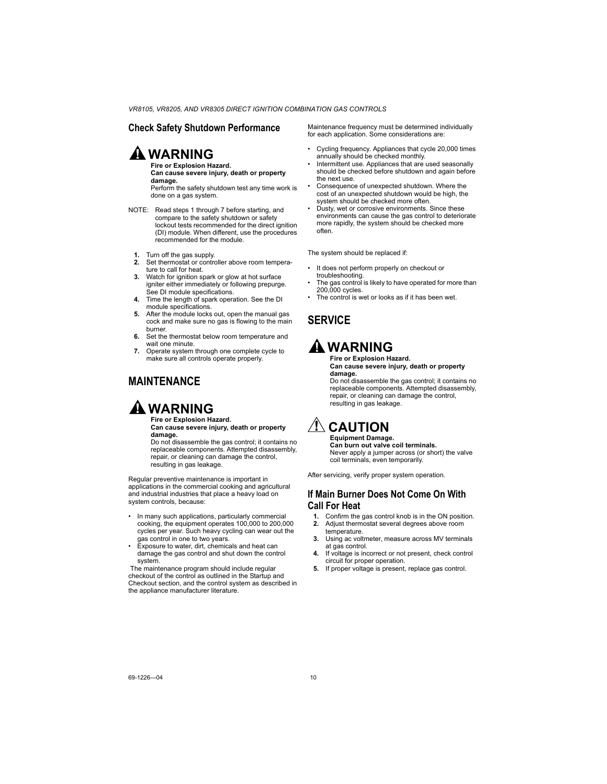### **Check Safety Shutdown Performance**

# **WARNING**

**Fire or Explosion Hazard. Can cause severe injury, death or property damage.**

Perform the safety shutdown test any time work is done on a gas system.

- NOTE: Read steps 1 through 7 before starting, and compare to the safety shutdown or safety lockout tests recommended for the direct ignition (DI) module. When different, use the procedures recommended for the module.
	- **1.** Turn off the gas supply.<br>**2** Set thermostat or control
	- **2.** Set thermostat or controller above room temperature to call for heat.
	- **3.** Watch for ignition spark or glow at hot surface igniter either immediately or following prepurge. See DI module specifications.
	- **4.** Time the length of spark operation. See the DI module specifications.
	- **5.** After the module locks out, open the manual gas cock and make sure no gas is flowing to the main burner.
	- **6.** Set the thermostat below room temperature and wait one minute.
	- **7.** Operate system through one complete cycle to make sure all controls operate properly.

### **MAINTENANCE**



#### **Fire or Explosion Hazard. Can cause severe injury, death or property damage.**

Do not disassemble the gas control; it contains no replaceable components. Attempted disassembly, repair, or cleaning can damage the control, resulting in gas leakage.

Regular preventive maintenance is important in applications in the commercial cooking and agricultural and industrial industries that place a heavy load on system controls, because:

- In many such applications, particularly commercial cooking, the equipment operates 100,000 to 200,000 cycles per year. Such heavy cycling can wear out the gas control in one to two years.
- Exposure to water, dirt, chemicals and heat can damage the gas control and shut down the control system.

 The maintenance program should include regular checkout of the control as outlined in the Startup and Checkout section, and the control system as described in the appliance manufacturer literature.

Maintenance frequency must be determined individually for each application. Some considerations are:

- Cycling frequency. Appliances that cycle 20,000 times annually should be checked monthly.
- Intermittent use. Appliances that are used seasonally should be checked before shutdown and again before the next use.
- Consequence of unexpected shutdown. Where the cost of an unexpected shutdown would be high, the system should be checked more often.
- Dusty, wet or corrosive environments. Since these environments can cause the gas control to deteriorate more rapidly, the system should be checked more often.

The system should be replaced if:

- It does not perform properly on checkout or troubleshooting.
- The gas control is likely to have operated for more than 200,000 cycles.
- The control is wet or looks as if it has been wet.

### **SERVICE**

# **WARNING**

#### **Fire or Explosion Hazard. Can cause severe injury, death or property damage.**

Do not disassemble the gas control; it contains no replaceable components. Attempted disassembly, repair, or cleaning can damage the control, resulting in gas leakage.

# $\underline{?}$  CAUTION

#### **Equipment Damage. Can burn out valve coil terminals.** Never apply a jumper across (or short) the valve coil terminals, even temporarily.

After servicing, verify proper system operation.

### **If Main Burner Does Not Come On With Call For Heat**

- **1.** Confirm the gas control knob is in the ON position.
- **2.** Adjust thermostat several degrees above room temperature.
- **3.** Using ac voltmeter, measure across MV terminals at gas control.
- **4.** If voltage is incorrect or not present, check control circuit for proper operation.
- **5.** If proper voltage is present, replace gas control.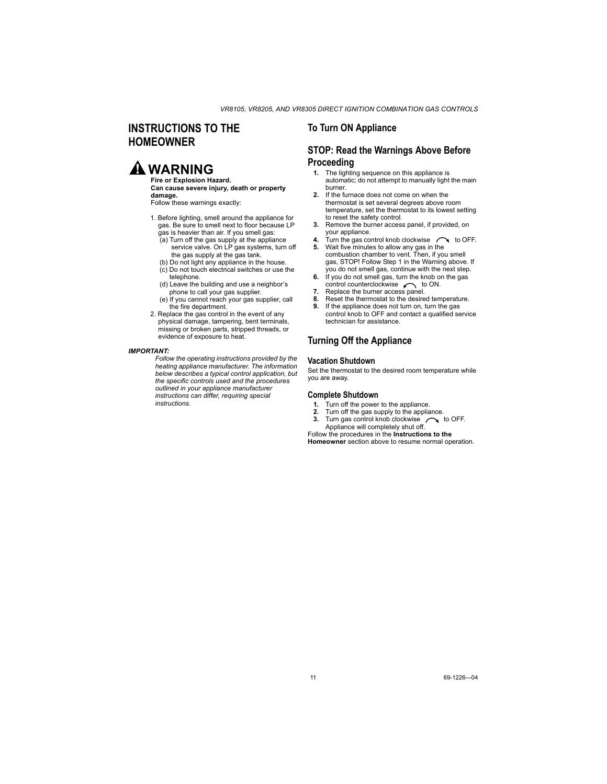### **INSTRUCTIONS TO THE HOMEOWNER**

# **A** WARNING

#### **Fire or Explosion Hazard. Can cause severe injury, death or property damage.**

Follow these warnings exactly:

- 1. Before lighting, smell around the appliance for gas. Be sure to smell next to floor because LP gas is heavier than air. If you smell gas:
	- $(a)$  Turn off the gas supply at the appliance service valve. On LP gas systems, turn off the gas supply at the gas tank.
	- (b) Do not light any appliance in the house.
	- (c) Do not touch electrical switches or use the telephone.
	- (d) Leave the building and use a neighbor's phone to call your gas supplier.
	- (e) If you cannot reach your gas supplier, call the fire department.
- 2. Replace the gas control in the event of any physical damage, tampering, bent terminals, missing or broken parts, stripped threads, or evidence of exposure to heat.

#### *IMPORTANT:*

*Follow the operating instructions provided by the heating appliance manufacturer. The information below describes a typical control application, but the specific controls used and the procedures outlined in your appliance manufacturer instructions can differ, requiring special instructions.* 

### **To Turn ON Appliance**

### **STOP: Read the Warnings Above Before Proceeding**

- **1.** The lighting sequence on this appliance is automatic; do not attempt to manually light the main burner.
- **2.** If the furnace does not come on when the thermostat is set several degrees above room temperature, set the thermostat to its lowest setting to reset the safety control.
- **3.** Remove the burner access panel, if provided, on your appliance.
- **4.** Turn the gas control knob clockwise  $\bigcap$  to OFF.
- **5.** Wait five minutes to allow any gas in the combustion chamber to vent. Then, if you smell gas, STOP! Follow Step 1 in the Warning above. If you do not smell gas, continue with the next step.
- **6.** If you do not smell gas, turn the knob on the gas control counterclockwise  $\sim$  to ON.
- **7.** Replace the burner access panel.<br>**8.** Reset the thermostat to the desire
- **8.** Reset the thermostat to the desired temperature.
- **9.** If the appliance does not turn on, turn the gas control knob to OFF and contact a qualified service technician for assistance.

### **Turning Off the Appliance**

#### **Vacation Shutdown**

Set the thermostat to the desired room temperature while you are away.

#### **Complete Shutdown**

- **1.** Turn off the power to the appliance.
- 
- **2.** Turn off the gas supply to the appliance.<br>**3.** Turn gas control knob clockwise **or** to OFF. **3.** Turn gas control knob clockwise Appliance will completely shut off.

Follow the procedures in the **Instructions to the Homeowner** section above to resume normal operation.